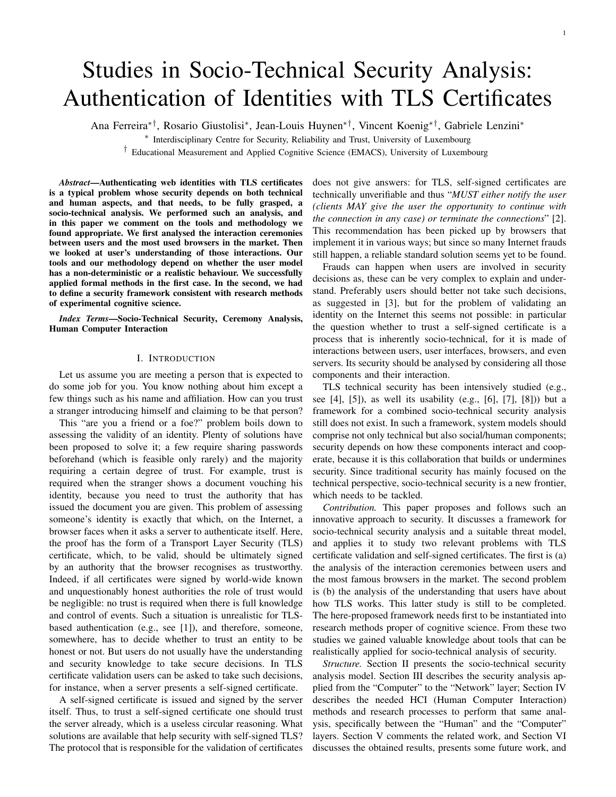# Studies in Socio-Technical Security Analysis: Authentication of Identities with TLS Certificates

Ana Ferreira∗†, Rosario Giustolisi<sup>∗</sup> , Jean-Louis Huynen∗†, Vincent Koenig∗†, Gabriele Lenzini<sup>∗</sup>

∗ Interdisciplinary Centre for Security, Reliability and Trust, University of Luxembourg

† Educational Measurement and Applied Cognitive Science (EMACS), University of Luxembourg

*Abstract*—Authenticating web identities with TLS certificates is a typical problem whose security depends on both technical and human aspects, and that needs, to be fully grasped, a socio-technical analysis. We performed such an analysis, and in this paper we comment on the tools and methodology we found appropriate. We first analysed the interaction ceremonies between users and the most used browsers in the market. Then we looked at user's understanding of those interactions. Our tools and our methodology depend on whether the user model has a non-deterministic or a realistic behaviour. We successfully applied formal methods in the first case. In the second, we had to define a security framework consistent with research methods of experimental cognitive science.

*Index Terms*—Socio-Technical Security, Ceremony Analysis, Human Computer Interaction

### I. INTRODUCTION

Let us assume you are meeting a person that is expected to do some job for you. You know nothing about him except a few things such as his name and affiliation. How can you trust a stranger introducing himself and claiming to be that person?

This "are you a friend or a foe?" problem boils down to assessing the validity of an identity. Plenty of solutions have been proposed to solve it; a few require sharing passwords beforehand (which is feasible only rarely) and the majority requiring a certain degree of trust. For example, trust is required when the stranger shows a document vouching his identity, because you need to trust the authority that has issued the document you are given. This problem of assessing someone's identity is exactly that which, on the Internet, a browser faces when it asks a server to authenticate itself. Here, the proof has the form of a Transport Layer Security (TLS) certificate, which, to be valid, should be ultimately signed by an authority that the browser recognises as trustworthy. Indeed, if all certificates were signed by world-wide known and unquestionably honest authorities the role of trust would be negligible: no trust is required when there is full knowledge and control of events. Such a situation is unrealistic for TLSbased authentication (e.g., see [1]), and therefore, someone, somewhere, has to decide whether to trust an entity to be honest or not. But users do not usually have the understanding and security knowledge to take secure decisions. In TLS certificate validation users can be asked to take such decisions, for instance, when a server presents a self-signed certificate.

A self-signed certificate is issued and signed by the server itself. Thus, to trust a self-signed certificate one should trust the server already, which is a useless circular reasoning. What solutions are available that help security with self-signed TLS? The protocol that is responsible for the validation of certificates does not give answers: for TLS, self-signed certificates are technically unverifiable and thus "*MUST either notify the user (clients MAY give the user the opportunity to continue with the connection in any case) or terminate the connections*" [2]. This recommendation has been picked up by browsers that implement it in various ways; but since so many Internet frauds still happen, a reliable standard solution seems yet to be found.

Frauds can happen when users are involved in security decisions as, these can be very complex to explain and understand. Preferably users should better not take such decisions, as suggested in [3], but for the problem of validating an identity on the Internet this seems not possible: in particular the question whether to trust a self-signed certificate is a process that is inherently socio-technical, for it is made of interactions between users, user interfaces, browsers, and even servers. Its security should be analysed by considering all those components and their interaction.

TLS technical security has been intensively studied (e.g., see  $[4]$ ,  $[5]$ ), as well its usability (e.g.,  $[6]$ ,  $[7]$ ,  $[8]$ )) but a framework for a combined socio-technical security analysis still does not exist. In such a framework, system models should comprise not only technical but also social/human components; security depends on how these components interact and cooperate, because it is this collaboration that builds or undermines security. Since traditional security has mainly focused on the technical perspective, socio-technical security is a new frontier, which needs to be tackled.

*Contribution.* This paper proposes and follows such an innovative approach to security. It discusses a framework for socio-technical security analysis and a suitable threat model, and applies it to study two relevant problems with TLS certificate validation and self-signed certificates. The first is (a) the analysis of the interaction ceremonies between users and the most famous browsers in the market. The second problem is (b) the analysis of the understanding that users have about how TLS works. This latter study is still to be completed. The here-proposed framework needs first to be instantiated into research methods proper of cognitive science. From these two studies we gained valuable knowledge about tools that can be realistically applied for socio-technical analysis of security.

*Structure.* Section II presents the socio-technical security analysis model. Section III describes the security analysis applied from the "Computer" to the "Network" layer; Section IV describes the needed HCI (Human Computer Interaction) methods and research processes to perform that same analysis, specifically between the "Human" and the "Computer" layers. Section V comments the related work, and Section VI discusses the obtained results, presents some future work, and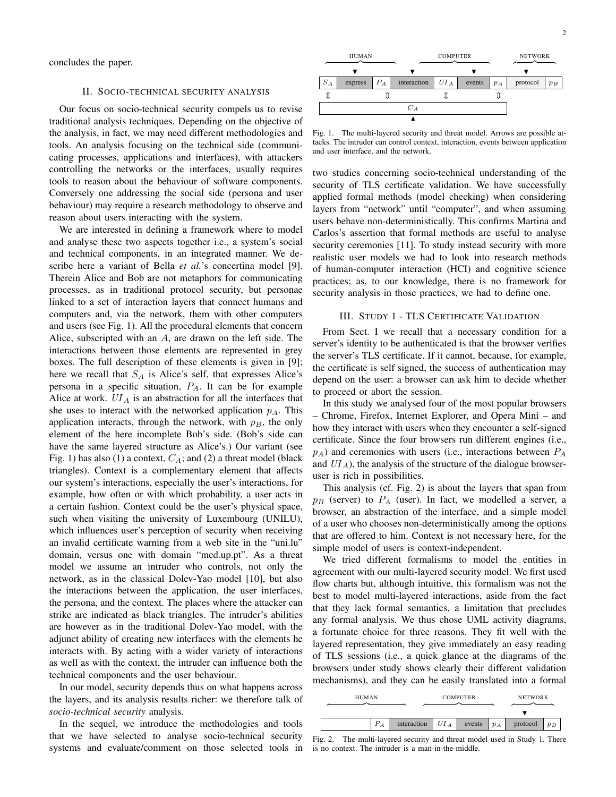concludes the paper.

# II. SOCIO-TECHNICAL SECURITY ANALYSIS

Our focus on socio-technical security compels us to revise traditional analysis techniques. Depending on the objective of the analysis, in fact, we may need different methodologies and tools. An analysis focusing on the technical side (communicating processes, applications and interfaces), with attackers controlling the networks or the interfaces, usually requires tools to reason about the behaviour of software components. Conversely one addressing the social side (persona and user behaviour) may require a research methodology to observe and reason about users interacting with the system.

We are interested in defining a framework where to model and analyse these two aspects together i.e., a system's social and technical components, in an integrated manner. We describe here a variant of Bella et al.'s concertina model [9]. Therein Alice and Bob are not metaphors for communicating processes, as in traditional protocol security, but personae linked to a set of interaction layers that connect humans and computers and, via the network, them with other computers and users (see Fig. 1). All the procedural elements that concern Alice, subscripted with an A, are drawn on the left side. The interactions between those elements are represented in grey boxes. The full description of these elements is given in [9]; here we recall that  $S_A$  is Alice's self, that expresses Alice's persona in a specific situation,  $P_A$ . It can be for example Alice at work.  $UI_A$  is an abstraction for all the interfaces that she uses to interact with the networked application  $p_A$ . This application interacts, through the network, with  $p_B$ , the only element of the here incomplete Bob's side. (Bob's side can have the same layered structure as Alice's.) Our variant (see Fig. 1) has also (1) a context,  $C_A$ ; and (2) a threat model (black triangles). Context is a complementary element that affects our system's interactions, especially the user's interactions, for example, how often or with which probability, a user acts in a certain fashion. Context could be the user's physical space, such when visiting the university of Luxembourg (UNILU), which influences user's perception of security when receiving an invalid certificate warning from a web site in the "uni.lu" domain, versus one with domain "med.up.pt". As a threat model we assume an intruder who controls, not only the network, as in the classical Dolev-Yao model [10], but also the interactions between the application, the user interfaces, the persona, and the context. The places where the attacker can strike are indicated as black triangles. The intruder's abilities are however as in the traditional Dolev-Yao model, with the adjunct ability of creating new interfaces with the elements he interacts with. By acting with a wider variety of interactions as well as with the context, the intruder can influence both the technical components and the user behaviour.

In our model, security depends thus on what happens across the layers, and its analysis results richer: we therefore talk of *socio-technical security* analysis.

In the sequel, we introduce the methodologies and tools that we have selected to analyse socio-technical security systems and evaluate/comment on those selected tools in



Fig. 1. The multi-layered security and threat model. Arrows are possible attacks. The intruder can control context, interaction, events between application and user interface, and the network.

two studies concerning socio-technical understanding of the security of TLS certificate validation. We have successfully applied formal methods (model checking) when considering layers from "network" until "computer", and when assuming users behave non-deterministically. This confirms Martina and Carlos's assertion that formal methods are useful to analyse security ceremonies [11]. To study instead security with more realistic user models we had to look into research methods of human-computer interaction (HCI) and cognitive science practices; as, to our knowledge, there is no framework for security analysis in those practices, we had to define one.

## III. STUDY 1 - TLS CERTIFICATE VALIDATION

From Sect. I we recall that a necessary condition for a server's identity to be authenticated is that the browser verifies the server's TLS certificate. If it cannot, because, for example, the certificate is self signed, the success of authentication may depend on the user: a browser can ask him to decide whether to proceed or abort the session.

In this study we analysed four of the most popular browsers – Chrome, Firefox, Internet Explorer, and Opera Mini – and how they interact with users when they encounter a self-signed certificate. Since the four browsers run different engines (i.e.,  $p_A$ ) and ceremonies with users (i.e., interactions between  $P_A$ and  $UI_A$ ), the analysis of the structure of the dialogue browseruser is rich in possibilities.

This analysis (cf. Fig. 2) is about the layers that span from  $p_B$  (server) to  $P_A$  (user). In fact, we modelled a server, a browser, an abstraction of the interface, and a simple model of a user who chooses non-deterministically among the options that are offered to him. Context is not necessary here, for the simple model of users is context-independent.

We tried different formalisms to model the entities in agreement with our multi-layered security model. We first used flow charts but, although intuitive, this formalism was not the best to model multi-layered interactions, aside from the fact that they lack formal semantics, a limitation that precludes any formal analysis. We thus chose UML activity diagrams, a fortunate choice for three reasons. They fit well with the layered representation, they give immediately an easy reading of TLS sessions (i.e., a quick glance at the diagrams of the browsers under study shows clearly their different validation mechanisms), and they can be easily translated into a formal

| <b>HUMAN</b> |                |             | <b>COMPUTER</b> |        |       | <b>NETWORK</b> |       |
|--------------|----------------|-------------|-----------------|--------|-------|----------------|-------|
|              |                |             |                 |        |       |                |       |
|              | $\overline{A}$ | interaction | UI <sub>A</sub> | events | $p_A$ | protocol       | $p_B$ |

Fig. 2. The multi-layered security and threat model used in Study 1. There is no context. The intruder is a man-in-the-middle.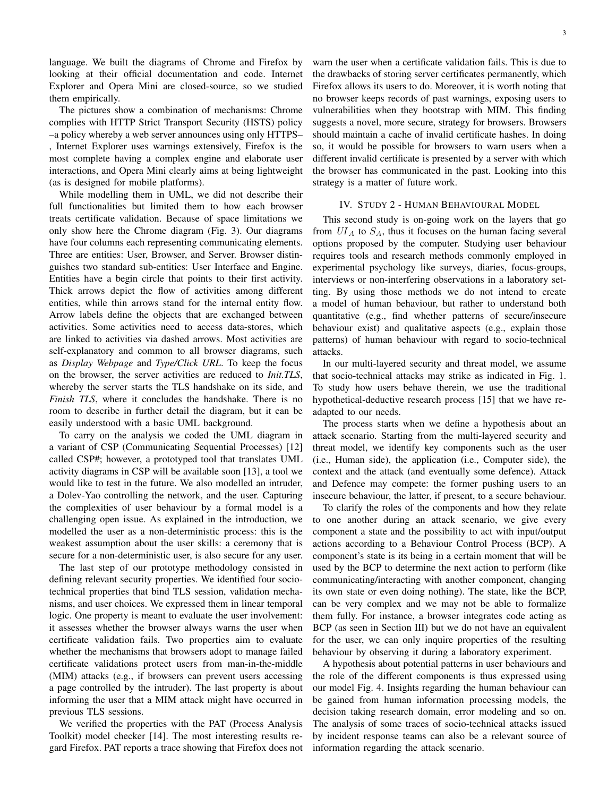language. We built the diagrams of Chrome and Firefox by looking at their official documentation and code. Internet Explorer and Opera Mini are closed-source, so we studied them empirically.

The pictures show a combination of mechanisms: Chrome complies with HTTP Strict Transport Security (HSTS) policy –a policy whereby a web server announces using only HTTPS– , Internet Explorer uses warnings extensively, Firefox is the most complete having a complex engine and elaborate user interactions, and Opera Mini clearly aims at being lightweight (as is designed for mobile platforms).

While modelling them in UML, we did not describe their full functionalities but limited them to how each browser treats certificate validation. Because of space limitations we only show here the Chrome diagram (Fig. 3). Our diagrams have four columns each representing communicating elements. Three are entities: User, Browser, and Server. Browser distinguishes two standard sub-entities: User Interface and Engine. Entities have a begin circle that points to their first activity. Thick arrows depict the flow of activities among different entities, while thin arrows stand for the internal entity flow. Arrow labels define the objects that are exchanged between activities. Some activities need to access data-stores, which are linked to activities via dashed arrows. Most activities are self-explanatory and common to all browser diagrams, such as *Display Webpage* and *Type/Click URL*. To keep the focus on the browser, the server activities are reduced to *Init.TLS*, whereby the server starts the TLS handshake on its side, and *Finish TLS*, where it concludes the handshake. There is no room to describe in further detail the diagram, but it can be easily understood with a basic UML background.

To carry on the analysis we coded the UML diagram in a variant of CSP (Communicating Sequential Processes) [12] called CSP#; however, a prototyped tool that translates UML activity diagrams in CSP will be available soon [13], a tool we would like to test in the future. We also modelled an intruder, a Dolev-Yao controlling the network, and the user. Capturing the complexities of user behaviour by a formal model is a challenging open issue. As explained in the introduction, we modelled the user as a non-deterministic process: this is the weakest assumption about the user skills: a ceremony that is secure for a non-deterministic user, is also secure for any user.

The last step of our prototype methodology consisted in defining relevant security properties. We identified four sociotechnical properties that bind TLS session, validation mechanisms, and user choices. We expressed them in linear temporal logic. One property is meant to evaluate the user involvement: it assesses whether the browser always warns the user when certificate validation fails. Two properties aim to evaluate whether the mechanisms that browsers adopt to manage failed certificate validations protect users from man-in-the-middle (MIM) attacks (e.g., if browsers can prevent users accessing a page controlled by the intruder). The last property is about informing the user that a MIM attack might have occurred in previous TLS sessions.

We verified the properties with the PAT (Process Analysis Toolkit) model checker [14]. The most interesting results regard Firefox. PAT reports a trace showing that Firefox does not warn the user when a certificate validation fails. This is due to the drawbacks of storing server certificates permanently, which Firefox allows its users to do. Moreover, it is worth noting that no browser keeps records of past warnings, exposing users to vulnerabilities when they bootstrap with MIM. This finding suggests a novel, more secure, strategy for browsers. Browsers should maintain a cache of invalid certificate hashes. In doing so, it would be possible for browsers to warn users when a different invalid certificate is presented by a server with which the browser has communicated in the past. Looking into this strategy is a matter of future work.

#### IV. STUDY 2 - HUMAN BEHAVIOURAL MODEL

This second study is on-going work on the layers that go from  $UI<sub>A</sub>$  to  $S<sub>A</sub>$ , thus it focuses on the human facing several options proposed by the computer. Studying user behaviour requires tools and research methods commonly employed in experimental psychology like surveys, diaries, focus-groups, interviews or non-interfering observations in a laboratory setting. By using those methods we do not intend to create a model of human behaviour, but rather to understand both quantitative (e.g., find whether patterns of secure/insecure behaviour exist) and qualitative aspects (e.g., explain those patterns) of human behaviour with regard to socio-technical attacks.

In our multi-layered security and threat model, we assume that socio-technical attacks may strike as indicated in Fig. 1. To study how users behave therein, we use the traditional hypothetical-deductive research process [15] that we have readapted to our needs.

The process starts when we define a hypothesis about an attack scenario. Starting from the multi-layered security and threat model, we identify key components such as the user (i.e., Human side), the application (i.e., Computer side), the context and the attack (and eventually some defence). Attack and Defence may compete: the former pushing users to an insecure behaviour, the latter, if present, to a secure behaviour.

To clarify the roles of the components and how they relate to one another during an attack scenario, we give every component a state and the possibility to act with input/output actions according to a Behaviour Control Process (BCP). A component's state is its being in a certain moment that will be used by the BCP to determine the next action to perform (like communicating/interacting with another component, changing its own state or even doing nothing). The state, like the BCP, can be very complex and we may not be able to formalize them fully. For instance, a browser integrates code acting as BCP (as seen in Section III) but we do not have an equivalent for the user, we can only inquire properties of the resulting behaviour by observing it during a laboratory experiment.

A hypothesis about potential patterns in user behaviours and the role of the different components is thus expressed using our model Fig. 4. Insights regarding the human behaviour can be gained from human information processing models, the decision taking research domain, error modeling and so on. The analysis of some traces of socio-technical attacks issued by incident response teams can also be a relevant source of information regarding the attack scenario.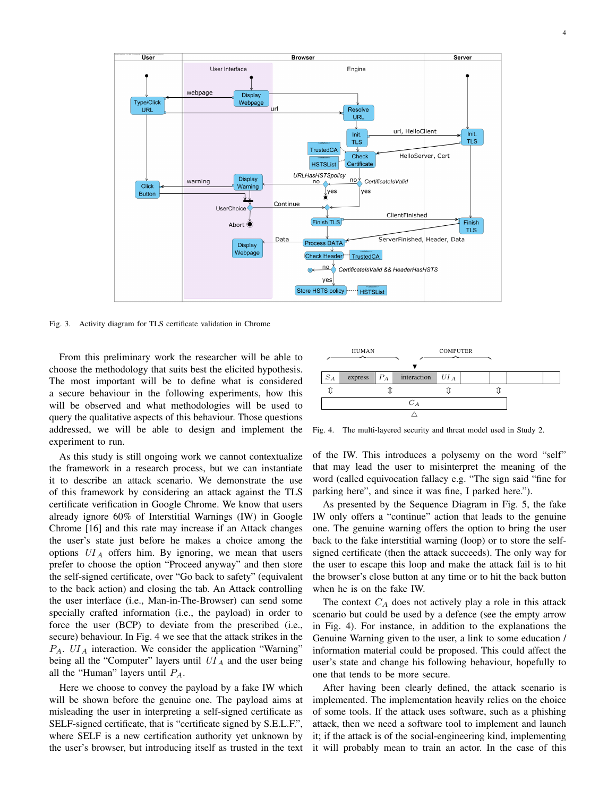

Fig. 3. Activity diagram for TLS certificate validation in Chrome

From this preliminary work the researcher will be able to choose the methodology that suits best the elicited hypothesis. The most important will be to define what is considered a secure behaviour in the following experiments, how this will be observed and what methodologies will be used to query the qualitative aspects of this behaviour. Those questions addressed, we will be able to design and implement the experiment to run.

As this study is still ongoing work we cannot contextualize the framework in a research process, but we can instantiate it to describe an attack scenario. We demonstrate the use of this framework by considering an attack against the TLS certificate verification in Google Chrome. We know that users already ignore 60% of Interstitial Warnings (IW) in Google Chrome [16] and this rate may increase if an Attack changes the user's state just before he makes a choice among the options  $UI_A$  offers him. By ignoring, we mean that users prefer to choose the option "Proceed anyway" and then store the self-signed certificate, over "Go back to safety" (equivalent to the back action) and closing the tab. An Attack controlling the user interface (i.e., Man-in-The-Browser) can send some specially crafted information (i.e., the payload) in order to force the user (BCP) to deviate from the prescribed (i.e., secure) behaviour. In Fig. 4 we see that the attack strikes in the  $P_A$ .  $UI_A$  interaction. We consider the application "Warning" being all the "Computer" layers until  $UI_A$  and the user being all the "Human" layers until  $P_A$ .

Here we choose to convey the payload by a fake IW which will be shown before the genuine one. The payload aims at misleading the user in interpreting a self-signed certificate as SELF-signed certificate, that is "certificate signed by S.E.L.F.", where SELF is a new certification authority yet unknown by the user's browser, but introducing itself as trusted in the text



Fig. 4. The multi-layered security and threat model used in Study 2.

of the IW. This introduces a polysemy on the word "self" that may lead the user to misinterpret the meaning of the word (called equivocation fallacy e.g. "The sign said "fine for parking here", and since it was fine, I parked here.").

As presented by the Sequence Diagram in Fig. 5, the fake IW only offers a "continue" action that leads to the genuine one. The genuine warning offers the option to bring the user back to the fake interstitial warning (loop) or to store the selfsigned certificate (then the attack succeeds). The only way for the user to escape this loop and make the attack fail is to hit the browser's close button at any time or to hit the back button when he is on the fake IW.

The context  $C_A$  does not actively play a role in this attack scenario but could be used by a defence (see the empty arrow in Fig. 4). For instance, in addition to the explanations the Genuine Warning given to the user, a link to some education / information material could be proposed. This could affect the user's state and change his following behaviour, hopefully to one that tends to be more secure.

After having been clearly defined, the attack scenario is implemented. The implementation heavily relies on the choice of some tools. If the attack uses software, such as a phishing attack, then we need a software tool to implement and launch it; if the attack is of the social-engineering kind, implementing it will probably mean to train an actor. In the case of this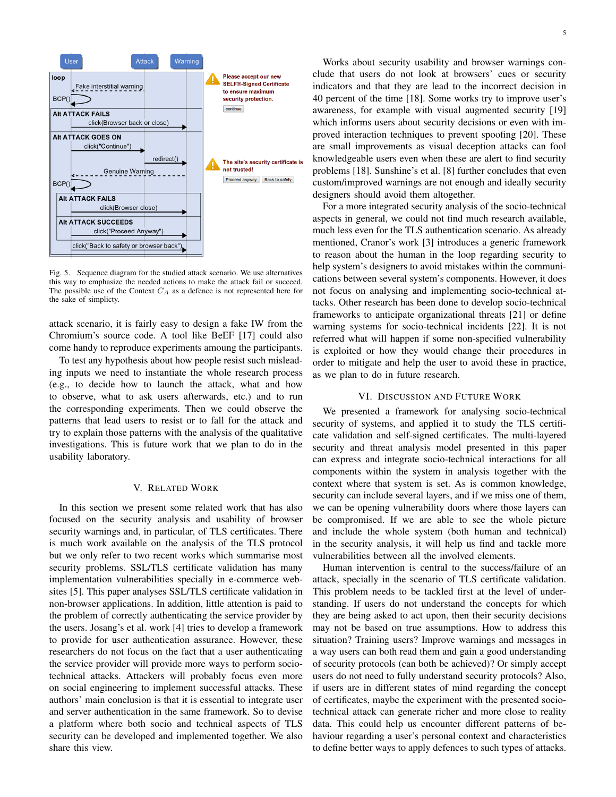

Fig. 5. Sequence diagram for the studied attack scenario. We use alternatives this way to emphasize the needed actions to make the attack fail or succeed. The possible use of the Context  $C_A$  as a defence is not represented here for the sake of simplicty.

attack scenario, it is fairly easy to design a fake IW from the Chromium's source code. A tool like BeEF [17] could also come handy to reproduce experiments amoung the participants.

To test any hypothesis about how people resist such misleading inputs we need to instantiate the whole research process (e.g., to decide how to launch the attack, what and how to observe, what to ask users afterwards, etc.) and to run the corresponding experiments. Then we could observe the patterns that lead users to resist or to fall for the attack and try to explain those patterns with the analysis of the qualitative investigations. This is future work that we plan to do in the usability laboratory.

### V. RELATED WORK

In this section we present some related work that has also focused on the security analysis and usability of browser security warnings and, in particular, of TLS certificates. There is much work available on the analysis of the TLS protocol but we only refer to two recent works which summarise most security problems. SSL/TLS certificate validation has many implementation vulnerabilities specially in e-commerce websites [5]. This paper analyses SSL/TLS certificate validation in non-browser applications. In addition, little attention is paid to the problem of correctly authenticating the service provider by the users. Josang's et al. work [4] tries to develop a framework to provide for user authentication assurance. However, these researchers do not focus on the fact that a user authenticating the service provider will provide more ways to perform sociotechnical attacks. Attackers will probably focus even more on social engineering to implement successful attacks. These authors' main conclusion is that it is essential to integrate user and server authentication in the same framework. So to devise a platform where both socio and technical aspects of TLS security can be developed and implemented together. We also share this view.

Works about security usability and browser warnings conclude that users do not look at browsers' cues or security indicators and that they are lead to the incorrect decision in 40 percent of the time [18]. Some works try to improve user's awareness, for example with visual augmented security [19] which informs users about security decisions or even with improved interaction techniques to prevent spoofing [20]. These are small improvements as visual deception attacks can fool knowledgeable users even when these are alert to find security problems [18]. Sunshine's et al. [8] further concludes that even custom/improved warnings are not enough and ideally security designers should avoid them altogether.

For a more integrated security analysis of the socio-technical aspects in general, we could not find much research available, much less even for the TLS authentication scenario. As already mentioned, Cranor's work [3] introduces a generic framework to reason about the human in the loop regarding security to help system's designers to avoid mistakes within the communications between several system's components. However, it does not focus on analysing and implementing socio-technical attacks. Other research has been done to develop socio-technical frameworks to anticipate organizational threats [21] or define warning systems for socio-technical incidents [22]. It is not referred what will happen if some non-specified vulnerability is exploited or how they would change their procedures in order to mitigate and help the user to avoid these in practice, as we plan to do in future research.

#### VI. DISCUSSION AND FUTURE WORK

We presented a framework for analysing socio-technical security of systems, and applied it to study the TLS certificate validation and self-signed certificates. The multi-layered security and threat analysis model presented in this paper can express and integrate socio-technical interactions for all components within the system in analysis together with the context where that system is set. As is common knowledge, security can include several layers, and if we miss one of them, we can be opening vulnerability doors where those layers can be compromised. If we are able to see the whole picture and include the whole system (both human and technical) in the security analysis, it will help us find and tackle more vulnerabilities between all the involved elements.

Human intervention is central to the success/failure of an attack, specially in the scenario of TLS certificate validation. This problem needs to be tackled first at the level of understanding. If users do not understand the concepts for which they are being asked to act upon, then their security decisions may not be based on true assumptions. How to address this situation? Training users? Improve warnings and messages in a way users can both read them and gain a good understanding of security protocols (can both be achieved)? Or simply accept users do not need to fully understand security protocols? Also, if users are in different states of mind regarding the concept of certificates, maybe the experiment with the presented sociotechnical attack can generate richer and more close to reality data. This could help us encounter different patterns of behaviour regarding a user's personal context and characteristics to define better ways to apply defences to such types of attacks.